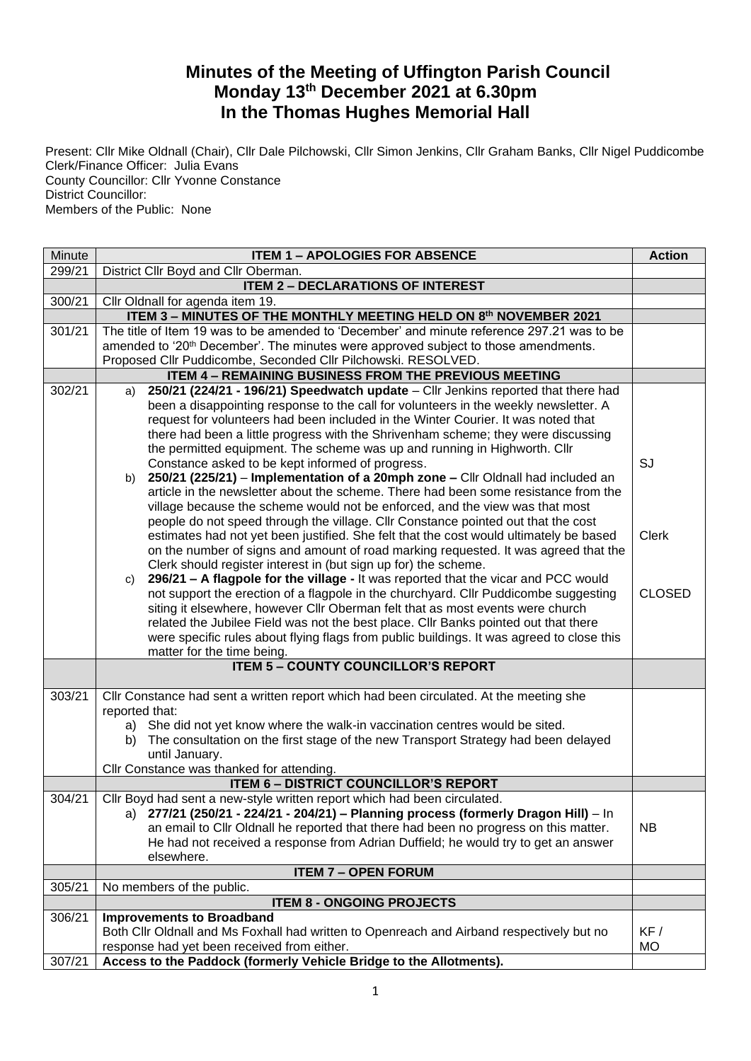## **Minutes of the Meeting of Uffington Parish Council Monday 13th December 2021 at 6.30pm In the Thomas Hughes Memorial Hall**

Present: Cllr Mike Oldnall (Chair), Cllr Dale Pilchowski, Cllr Simon Jenkins, Cllr Graham Banks, Cllr Nigel Puddicombe Clerk/Finance Officer: Julia Evans County Councillor: Cllr Yvonne Constance District Councillor: Members of the Public: None

| Minute | <b>ITEM 1 - APOLOGIES FOR ABSENCE</b>                                                                                                  |               |  |  |
|--------|----------------------------------------------------------------------------------------------------------------------------------------|---------------|--|--|
| 299/21 | District Cllr Boyd and Cllr Oberman.                                                                                                   |               |  |  |
|        | <b>ITEM 2 - DECLARATIONS OF INTEREST</b>                                                                                               |               |  |  |
| 300/21 | Cllr Oldnall for agenda item 19.                                                                                                       |               |  |  |
|        | ITEM 3 - MINUTES OF THE MONTHLY MEETING HELD ON 8th NOVEMBER 2021                                                                      |               |  |  |
| 301/21 | The title of Item 19 was to be amended to 'December' and minute reference 297.21 was to be                                             |               |  |  |
|        | amended to '20 <sup>th</sup> December'. The minutes were approved subject to those amendments.                                         |               |  |  |
|        | Proposed Cllr Puddicombe, Seconded Cllr Pilchowski. RESOLVED.                                                                          |               |  |  |
|        | <b>ITEM 4 - REMAINING BUSINESS FROM THE PREVIOUS MEETING</b>                                                                           |               |  |  |
| 302/21 | 250/21 (224/21 - 196/21) Speedwatch update - Cllr Jenkins reported that there had<br>a)                                                |               |  |  |
|        | been a disappointing response to the call for volunteers in the weekly newsletter. A                                                   |               |  |  |
|        | request for volunteers had been included in the Winter Courier. It was noted that                                                      |               |  |  |
|        | there had been a little progress with the Shrivenham scheme; they were discussing                                                      |               |  |  |
|        | the permitted equipment. The scheme was up and running in Highworth. Cllr                                                              | SJ            |  |  |
|        | Constance asked to be kept informed of progress.<br>b) 250/21 (225/21) – Implementation of a 20mph zone – Cllr Oldnall had included an |               |  |  |
|        | article in the newsletter about the scheme. There had been some resistance from the                                                    |               |  |  |
|        | village because the scheme would not be enforced, and the view was that most                                                           |               |  |  |
|        | people do not speed through the village. Cllr Constance pointed out that the cost                                                      |               |  |  |
|        | estimates had not yet been justified. She felt that the cost would ultimately be based                                                 | <b>Clerk</b>  |  |  |
|        | on the number of signs and amount of road marking requested. It was agreed that the                                                    |               |  |  |
|        | Clerk should register interest in (but sign up for) the scheme.                                                                        |               |  |  |
|        | 296/21 - A flagpole for the village - It was reported that the vicar and PCC would<br>C)                                               |               |  |  |
|        | not support the erection of a flagpole in the churchyard. Cllr Puddicombe suggesting                                                   | <b>CLOSED</b> |  |  |
|        | siting it elsewhere, however Cllr Oberman felt that as most events were church                                                         |               |  |  |
|        | related the Jubilee Field was not the best place. Cllr Banks pointed out that there                                                    |               |  |  |
|        | were specific rules about flying flags from public buildings. It was agreed to close this                                              |               |  |  |
|        | matter for the time being.                                                                                                             |               |  |  |
|        | <b>ITEM 5 - COUNTY COUNCILLOR'S REPORT</b>                                                                                             |               |  |  |
|        |                                                                                                                                        |               |  |  |
| 303/21 | Cllr Constance had sent a written report which had been circulated. At the meeting she                                                 |               |  |  |
|        | reported that:                                                                                                                         |               |  |  |
|        | a) She did not yet know where the walk-in vaccination centres would be sited.                                                          |               |  |  |
|        | The consultation on the first stage of the new Transport Strategy had been delayed<br>b)                                               |               |  |  |
|        | until January.<br>Cllr Constance was thanked for attending.                                                                            |               |  |  |
|        | <b>ITEM 6 - DISTRICT COUNCILLOR'S REPORT</b>                                                                                           |               |  |  |
| 304/21 | Cllr Boyd had sent a new-style written report which had been circulated.                                                               |               |  |  |
|        | a) 277/21 (250/21 - 224/21 - 204/21) - Planning process (formerly Dragon Hill) - In                                                    |               |  |  |
|        | an email to Cllr Oldnall he reported that there had been no progress on this matter.                                                   | <b>NB</b>     |  |  |
|        | He had not received a response from Adrian Duffield; he would try to get an answer                                                     |               |  |  |
|        | elsewhere.                                                                                                                             |               |  |  |
|        | <b>ITEM 7 - OPEN FORUM</b>                                                                                                             |               |  |  |
| 305/21 | No members of the public.                                                                                                              |               |  |  |
|        | <b>ITEM 8 - ONGOING PROJECTS</b>                                                                                                       |               |  |  |
| 306/21 | <b>Improvements to Broadband</b>                                                                                                       |               |  |  |
|        | Both Cllr Oldnall and Ms Foxhall had written to Openreach and Airband respectively but no                                              | KF /          |  |  |
|        | response had yet been received from either.                                                                                            | <b>MO</b>     |  |  |
| 307/21 | Access to the Paddock (formerly Vehicle Bridge to the Allotments).                                                                     |               |  |  |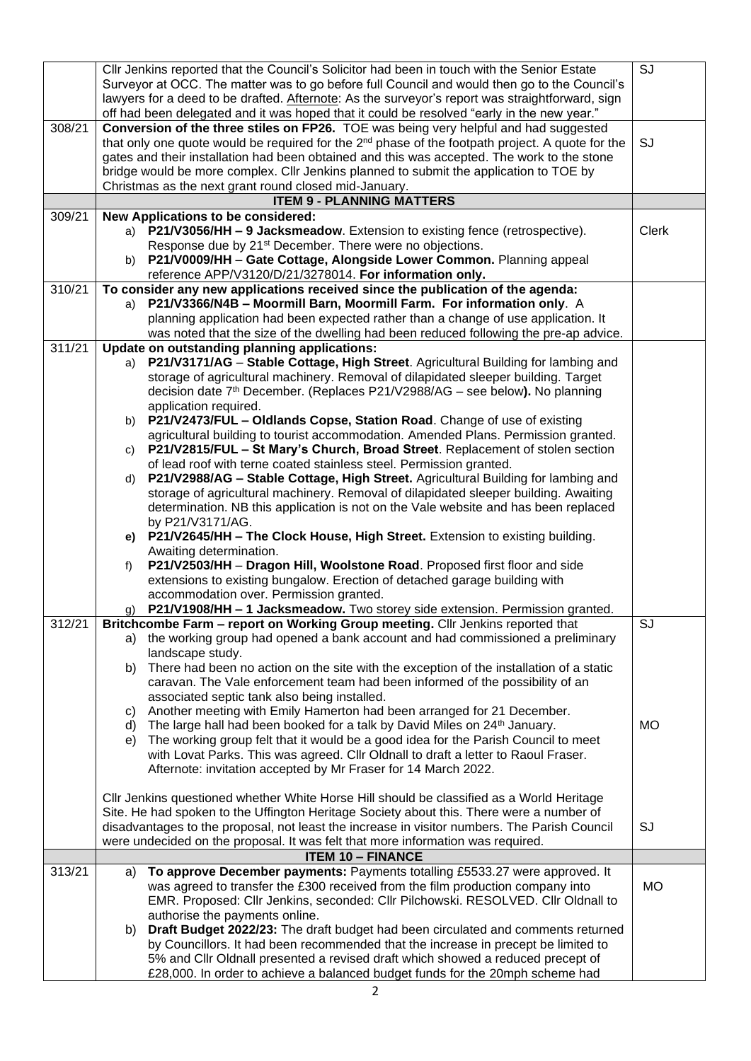|        |                                                                                                 | CIIr Jenkins reported that the Council's Solicitor had been in touch with the Senior Estate                  | SJ        |  |  |  |
|--------|-------------------------------------------------------------------------------------------------|--------------------------------------------------------------------------------------------------------------|-----------|--|--|--|
|        |                                                                                                 | Surveyor at OCC. The matter was to go before full Council and would then go to the Council's                 |           |  |  |  |
|        | lawyers for a deed to be drafted. Afternote: As the surveyor's report was straightforward, sign |                                                                                                              |           |  |  |  |
|        |                                                                                                 |                                                                                                              |           |  |  |  |
|        |                                                                                                 | off had been delegated and it was hoped that it could be resolved "early in the new year."                   |           |  |  |  |
| 308/21 |                                                                                                 | Conversion of the three stiles on FP26. TOE was being very helpful and had suggested                         |           |  |  |  |
|        |                                                                                                 | that only one quote would be required for the 2 <sup>nd</sup> phase of the footpath project. A quote for the | SJ        |  |  |  |
|        |                                                                                                 | gates and their installation had been obtained and this was accepted. The work to the stone                  |           |  |  |  |
|        |                                                                                                 | bridge would be more complex. Cllr Jenkins planned to submit the application to TOE by                       |           |  |  |  |
|        |                                                                                                 | Christmas as the next grant round closed mid-January.                                                        |           |  |  |  |
|        |                                                                                                 | <b>ITEM 9 - PLANNING MATTERS</b>                                                                             |           |  |  |  |
| 309/21 |                                                                                                 | New Applications to be considered:                                                                           |           |  |  |  |
|        |                                                                                                 |                                                                                                              |           |  |  |  |
|        |                                                                                                 | a) P21/V3056/HH - 9 Jacksmeadow. Extension to existing fence (retrospective).                                | Clerk     |  |  |  |
|        |                                                                                                 | Response due by 21 <sup>st</sup> December. There were no objections.                                         |           |  |  |  |
|        | b)                                                                                              | P21/V0009/HH - Gate Cottage, Alongside Lower Common. Planning appeal                                         |           |  |  |  |
|        |                                                                                                 | reference APP/V3120/D/21/3278014. For information only.                                                      |           |  |  |  |
| 310/21 |                                                                                                 | To consider any new applications received since the publication of the agenda:                               |           |  |  |  |
|        | a)                                                                                              | P21/V3366/N4B - Moormill Barn, Moormill Farm. For information only. A                                        |           |  |  |  |
|        |                                                                                                 | planning application had been expected rather than a change of use application. It                           |           |  |  |  |
|        |                                                                                                 | was noted that the size of the dwelling had been reduced following the pre-ap advice.                        |           |  |  |  |
| 311/21 | Update on outstanding planning applications:                                                    |                                                                                                              |           |  |  |  |
|        |                                                                                                 |                                                                                                              |           |  |  |  |
|        | a)                                                                                              | P21/V3171/AG - Stable Cottage, High Street. Agricultural Building for lambing and                            |           |  |  |  |
|        |                                                                                                 | storage of agricultural machinery. Removal of dilapidated sleeper building. Target                           |           |  |  |  |
|        |                                                                                                 | decision date 7 <sup>th</sup> December. (Replaces P21/V2988/AG - see below). No planning                     |           |  |  |  |
|        |                                                                                                 | application required.                                                                                        |           |  |  |  |
|        | b)                                                                                              | P21/V2473/FUL - Oldlands Copse, Station Road. Change of use of existing                                      |           |  |  |  |
|        |                                                                                                 | agricultural building to tourist accommodation. Amended Plans. Permission granted.                           |           |  |  |  |
|        | C)                                                                                              | P21/V2815/FUL - St Mary's Church, Broad Street. Replacement of stolen section                                |           |  |  |  |
|        |                                                                                                 | of lead roof with terne coated stainless steel. Permission granted.                                          |           |  |  |  |
|        | d)                                                                                              | P21/V2988/AG - Stable Cottage, High Street. Agricultural Building for lambing and                            |           |  |  |  |
|        |                                                                                                 |                                                                                                              |           |  |  |  |
|        |                                                                                                 | storage of agricultural machinery. Removal of dilapidated sleeper building. Awaiting                         |           |  |  |  |
|        |                                                                                                 | determination. NB this application is not on the Vale website and has been replaced                          |           |  |  |  |
|        |                                                                                                 | by P21/V3171/AG.                                                                                             |           |  |  |  |
|        | e)                                                                                              | P21/V2645/HH - The Clock House, High Street. Extension to existing building.                                 |           |  |  |  |
|        |                                                                                                 | Awaiting determination.                                                                                      |           |  |  |  |
|        | f)                                                                                              | P21/V2503/HH - Dragon Hill, Woolstone Road. Proposed first floor and side                                    |           |  |  |  |
|        |                                                                                                 | extensions to existing bungalow. Erection of detached garage building with                                   |           |  |  |  |
|        |                                                                                                 | accommodation over. Permission granted.                                                                      |           |  |  |  |
|        |                                                                                                 | P21/V1908/HH - 1 Jacksmeadow. Two storey side extension. Permission granted.                                 |           |  |  |  |
| 312/21 |                                                                                                 | Britchcombe Farm - report on Working Group meeting. Cllr Jenkins reported that                               | SJ        |  |  |  |
|        |                                                                                                 |                                                                                                              |           |  |  |  |
|        |                                                                                                 | a) the working group had opened a bank account and had commissioned a preliminary                            |           |  |  |  |
|        |                                                                                                 | landscape study.                                                                                             |           |  |  |  |
|        | b)                                                                                              | There had been no action on the site with the exception of the installation of a static                      |           |  |  |  |
|        |                                                                                                 | caravan. The Vale enforcement team had been informed of the possibility of an                                |           |  |  |  |
|        |                                                                                                 | associated septic tank also being installed.                                                                 |           |  |  |  |
|        | C)                                                                                              | Another meeting with Emily Hamerton had been arranged for 21 December.                                       |           |  |  |  |
|        | d)                                                                                              | The large hall had been booked for a talk by David Miles on 24th January.                                    | <b>MO</b> |  |  |  |
|        | e)                                                                                              | The working group felt that it would be a good idea for the Parish Council to meet                           |           |  |  |  |
|        |                                                                                                 | with Lovat Parks. This was agreed. Cllr Oldnall to draft a letter to Raoul Fraser.                           |           |  |  |  |
|        |                                                                                                 | Afternote: invitation accepted by Mr Fraser for 14 March 2022.                                               |           |  |  |  |
|        |                                                                                                 |                                                                                                              |           |  |  |  |
|        |                                                                                                 | CIIr Jenkins questioned whether White Horse Hill should be classified as a World Heritage                    |           |  |  |  |
|        |                                                                                                 |                                                                                                              |           |  |  |  |
|        |                                                                                                 | Site. He had spoken to the Uffington Heritage Society about this. There were a number of                     |           |  |  |  |
|        |                                                                                                 | disadvantages to the proposal, not least the increase in visitor numbers. The Parish Council                 | <b>SJ</b> |  |  |  |
|        |                                                                                                 | were undecided on the proposal. It was felt that more information was required.                              |           |  |  |  |
|        |                                                                                                 | <b>ITEM 10 - FINANCE</b>                                                                                     |           |  |  |  |
| 313/21 | a)                                                                                              | To approve December payments: Payments totalling £5533.27 were approved. It                                  |           |  |  |  |
|        |                                                                                                 | was agreed to transfer the £300 received from the film production company into                               | <b>MO</b> |  |  |  |
|        |                                                                                                 | EMR. Proposed: Cllr Jenkins, seconded: Cllr Pilchowski. RESOLVED. Cllr Oldnall to                            |           |  |  |  |
|        |                                                                                                 | authorise the payments online.                                                                               |           |  |  |  |
|        | b)                                                                                              | Draft Budget 2022/23: The draft budget had been circulated and comments returned                             |           |  |  |  |
|        |                                                                                                 | by Councillors. It had been recommended that the increase in precept be limited to                           |           |  |  |  |
|        |                                                                                                 | 5% and Cllr Oldnall presented a revised draft which showed a reduced precept of                              |           |  |  |  |
|        |                                                                                                 |                                                                                                              |           |  |  |  |
|        |                                                                                                 | £28,000. In order to achieve a balanced budget funds for the 20mph scheme had                                |           |  |  |  |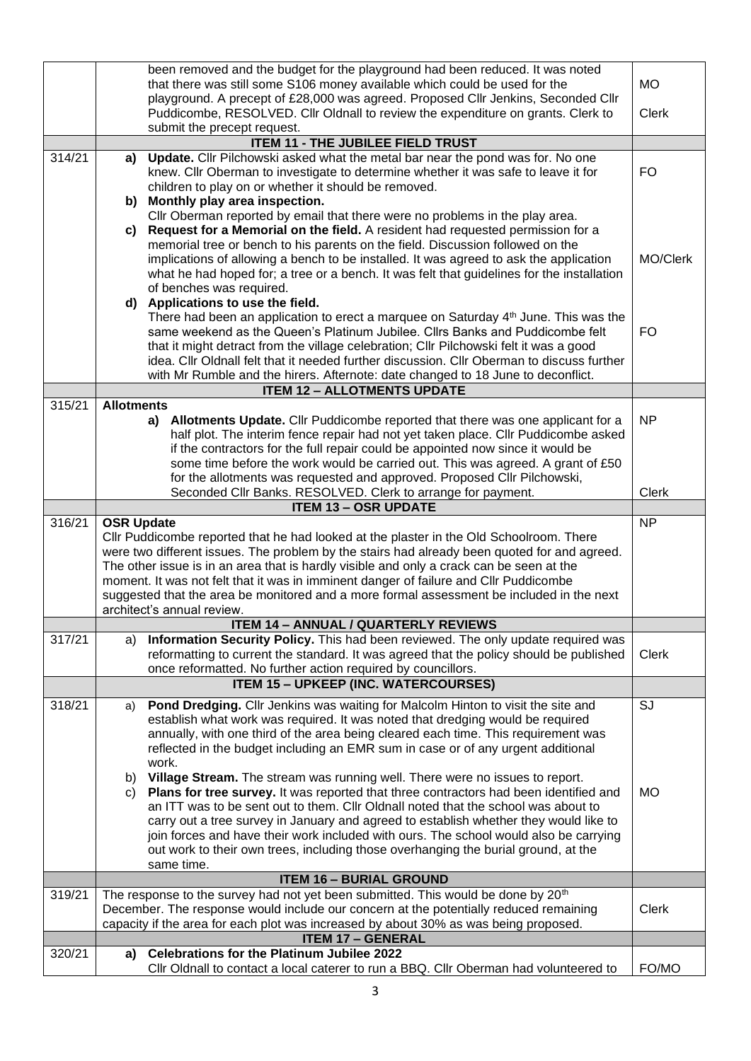|        | been removed and the budget for the playground had been reduced. It was noted |                                                                                                                                                                                         |              |  |  |  |
|--------|-------------------------------------------------------------------------------|-----------------------------------------------------------------------------------------------------------------------------------------------------------------------------------------|--------------|--|--|--|
|        |                                                                               | that there was still some S106 money available which could be used for the                                                                                                              | <b>MO</b>    |  |  |  |
|        |                                                                               | playground. A precept of £28,000 was agreed. Proposed Cllr Jenkins, Seconded Cllr                                                                                                       |              |  |  |  |
|        |                                                                               | Puddicombe, RESOLVED. Cllr Oldnall to review the expenditure on grants. Clerk to                                                                                                        | <b>Clerk</b> |  |  |  |
|        |                                                                               | submit the precept request.<br><b>ITEM 11 - THE JUBILEE FIELD TRUST</b>                                                                                                                 |              |  |  |  |
| 314/21 |                                                                               | a) Update. Cllr Pilchowski asked what the metal bar near the pond was for. No one                                                                                                       |              |  |  |  |
|        |                                                                               | knew. Cllr Oberman to investigate to determine whether it was safe to leave it for                                                                                                      | <b>FO</b>    |  |  |  |
|        |                                                                               | children to play on or whether it should be removed.                                                                                                                                    |              |  |  |  |
|        |                                                                               | b) Monthly play area inspection.                                                                                                                                                        |              |  |  |  |
|        |                                                                               | Cllr Oberman reported by email that there were no problems in the play area.                                                                                                            |              |  |  |  |
|        | C)                                                                            | Request for a Memorial on the field. A resident had requested permission for a                                                                                                          |              |  |  |  |
|        |                                                                               | memorial tree or bench to his parents on the field. Discussion followed on the                                                                                                          |              |  |  |  |
|        |                                                                               | implications of allowing a bench to be installed. It was agreed to ask the application                                                                                                  | MO/Clerk     |  |  |  |
|        |                                                                               | what he had hoped for; a tree or a bench. It was felt that guidelines for the installation                                                                                              |              |  |  |  |
|        |                                                                               | of benches was required.<br>d) Applications to use the field.                                                                                                                           |              |  |  |  |
|        |                                                                               | There had been an application to erect a marquee on Saturday 4th June. This was the                                                                                                     |              |  |  |  |
|        |                                                                               | same weekend as the Queen's Platinum Jubilee. ClIrs Banks and Puddicombe felt                                                                                                           | <b>FO</b>    |  |  |  |
|        |                                                                               | that it might detract from the village celebration; Cllr Pilchowski felt it was a good                                                                                                  |              |  |  |  |
|        |                                                                               | idea. Cllr Oldnall felt that it needed further discussion. Cllr Oberman to discuss further                                                                                              |              |  |  |  |
|        |                                                                               | with Mr Rumble and the hirers. Afternote: date changed to 18 June to deconflict.                                                                                                        |              |  |  |  |
|        |                                                                               | <b>ITEM 12 - ALLOTMENTS UPDATE</b>                                                                                                                                                      |              |  |  |  |
| 315/21 | <b>Allotments</b>                                                             |                                                                                                                                                                                         |              |  |  |  |
|        |                                                                               | a) Allotments Update. Cllr Puddicombe reported that there was one applicant for a                                                                                                       | <b>NP</b>    |  |  |  |
|        |                                                                               | half plot. The interim fence repair had not yet taken place. Cllr Puddicombe asked<br>if the contractors for the full repair could be appointed now since it would be                   |              |  |  |  |
|        |                                                                               | some time before the work would be carried out. This was agreed. A grant of £50                                                                                                         |              |  |  |  |
|        |                                                                               | for the allotments was requested and approved. Proposed Cllr Pilchowski,                                                                                                                |              |  |  |  |
|        |                                                                               | Seconded Cllr Banks. RESOLVED. Clerk to arrange for payment.                                                                                                                            | <b>Clerk</b> |  |  |  |
|        |                                                                               | <b>ITEM 13 - OSR UPDATE</b>                                                                                                                                                             |              |  |  |  |
| 316/21 | <b>OSR Update</b>                                                             |                                                                                                                                                                                         | <b>NP</b>    |  |  |  |
|        |                                                                               | CIIr Puddicombe reported that he had looked at the plaster in the Old Schoolroom. There<br>were two different issues. The problem by the stairs had already been quoted for and agreed. |              |  |  |  |
|        |                                                                               | The other issue is in an area that is hardly visible and only a crack can be seen at the                                                                                                |              |  |  |  |
|        |                                                                               | moment. It was not felt that it was in imminent danger of failure and Cllr Puddicombe                                                                                                   |              |  |  |  |
|        |                                                                               | suggested that the area be monitored and a more formal assessment be included in the next                                                                                               |              |  |  |  |
|        |                                                                               | architect's annual review.                                                                                                                                                              |              |  |  |  |
|        |                                                                               | <b>ITEM 14 - ANNUAL / QUARTERLY REVIEWS</b>                                                                                                                                             |              |  |  |  |
| 317/21 | a)                                                                            | Information Security Policy. This had been reviewed. The only update required was                                                                                                       |              |  |  |  |
|        |                                                                               | reformatting to current the standard. It was agreed that the policy should be published                                                                                                 | <b>Clerk</b> |  |  |  |
|        |                                                                               | once reformatted. No further action required by councillors.<br><b>ITEM 15 - UPKEEP (INC. WATERCOURSES)</b>                                                                             |              |  |  |  |
|        |                                                                               |                                                                                                                                                                                         |              |  |  |  |
| 318/21 | a)                                                                            | Pond Dredging. Cllr Jenkins was waiting for Malcolm Hinton to visit the site and<br>establish what work was required. It was noted that dredging would be required                      | SJ           |  |  |  |
|        |                                                                               | annually, with one third of the area being cleared each time. This requirement was                                                                                                      |              |  |  |  |
|        |                                                                               | reflected in the budget including an EMR sum in case or of any urgent additional                                                                                                        |              |  |  |  |
|        |                                                                               | work.                                                                                                                                                                                   |              |  |  |  |
|        | b)                                                                            | Village Stream. The stream was running well. There were no issues to report.                                                                                                            |              |  |  |  |
|        | C)                                                                            | Plans for tree survey. It was reported that three contractors had been identified and                                                                                                   | <b>MO</b>    |  |  |  |
|        |                                                                               | an ITT was to be sent out to them. Cllr Oldnall noted that the school was about to                                                                                                      |              |  |  |  |
|        |                                                                               | carry out a tree survey in January and agreed to establish whether they would like to                                                                                                   |              |  |  |  |
|        |                                                                               | join forces and have their work included with ours. The school would also be carrying<br>out work to their own trees, including those overhanging the burial ground, at the             |              |  |  |  |
|        |                                                                               | same time.                                                                                                                                                                              |              |  |  |  |
|        |                                                                               | <b>ITEM 16 - BURIAL GROUND</b>                                                                                                                                                          |              |  |  |  |
| 319/21 |                                                                               | The response to the survey had not yet been submitted. This would be done by 20 <sup>th</sup>                                                                                           |              |  |  |  |
|        |                                                                               | December. The response would include our concern at the potentially reduced remaining                                                                                                   | <b>Clerk</b> |  |  |  |
|        |                                                                               | capacity if the area for each plot was increased by about 30% as was being proposed.                                                                                                    |              |  |  |  |
|        |                                                                               | <b>ITEM 17 - GENERAL</b>                                                                                                                                                                |              |  |  |  |
| 320/21 | a)                                                                            | <b>Celebrations for the Platinum Jubilee 2022</b><br>Cllr Oldnall to contact a local caterer to run a BBQ. Cllr Oberman had volunteered to                                              | FO/MO        |  |  |  |
|        |                                                                               |                                                                                                                                                                                         |              |  |  |  |